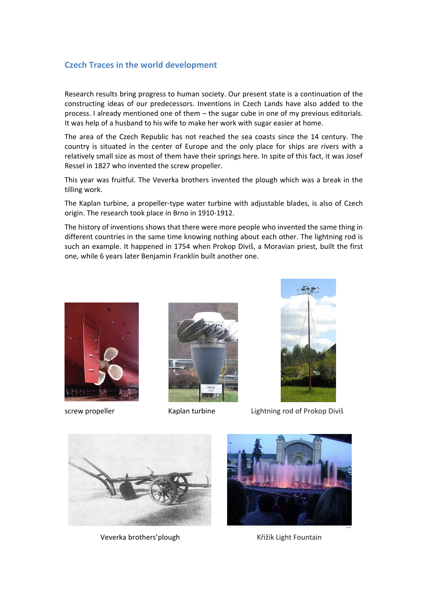## **Czech Traces in the world development**

Research results bring progress to human society. Our present state is a continuation of the constructing ideas of our predecessors. Inventions in Czech Lands have also added to the process. I already mentioned one of them – the sugar cube in one of my previous editorials. It was help of a husband to his wife to make her work with sugar easier at home.

The area of the Czech Republic has not reached the sea coasts since the 14 century. The country is situated in the center of Europe and the only place for ships are rivers with a relatively small size as most of them have their springs here. In spite of this fact, it was Josef Ressel in 1827 who invented the screw propeller.

This year was fruitful. The Veverka brothers invented the plough which was a break in the tilling work.

The Kaplan turbine, a propeller-type water turbine with adjustable blades, is also of Czech origin. The research took place in Brno in 1910-1912.

The history of inventions shows that there were more people who invented the same thing in different countries in the same time knowing nothing about each other. The lightning rod is such an example. It happened in 1754 when Prokop Diviš, a Moravian priest, built the first one, while 6 years later Benjamin Franklin built another one.







screw propeller **Kaplan turbine** Lightning rod of Prokop Diviš



Veverka brothers' plough Veverka brothers' plough Křižík Light Fountain